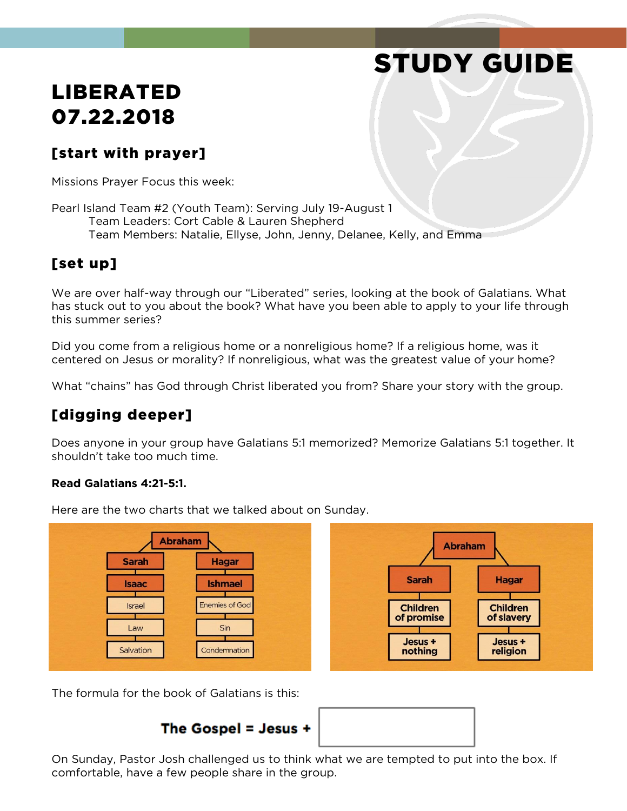# STUDY GUIDE

## LIBERATED 07.22.2018

## [start with prayer]

Missions Prayer Focus this week:

Pearl Island Team #2 (Youth Team): Serving July 19-August 1 Team Leaders: Cort Cable & Lauren Shepherd Team Members: Natalie, Ellyse, John, Jenny, Delanee, Kelly, and Emma

## [set up]

We are over half-way through our "Liberated" series, looking at the book of Galatians. What has stuck out to you about the book? What have you been able to apply to your life through this summer series?

Did you come from a religious home or a nonreligious home? If a religious home, was it centered on Jesus or morality? If nonreligious, what was the greatest value of your home?

What "chains" has God through Christ liberated you from? Share your story with the group.

## [digging deeper]

Does anyone in your group have Galatians 5:1 memorized? Memorize Galatians 5:1 together. It shouldn't take too much time.

#### **Read Galatians 4:21-5:1.**



Here are the two charts that we talked about on Sunday.

The formula for the book of Galatians is this:





On Sunday, Pastor Josh challenged us to think what we are tempted to put into the box. If comfortable, have a few people share in the group.